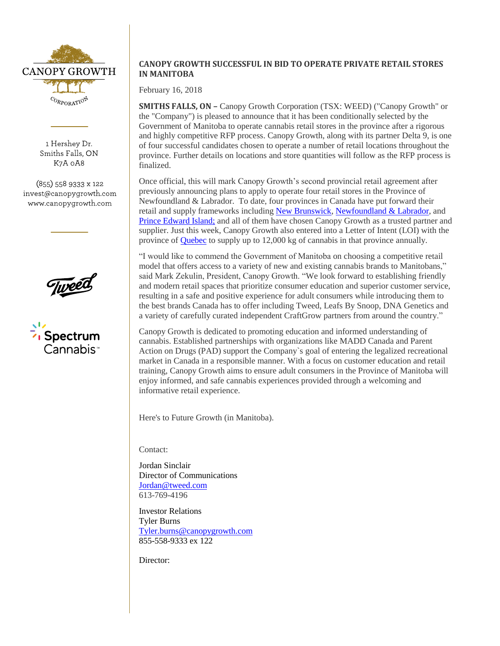

1 Hershey Dr. Smiths Falls, ON K7A 0A8

 $(855)$  558 9333 x 122 invest@canopygrowth.com www.canopygrowth.com



## **CANOPY GROWTH SUCCESSFUL IN BID TO OPERATE PRIVATE RETAIL STORES IN MANITOBA**

February 16, 2018

**SMITHS FALLS, ON –** Canopy Growth Corporation (TSX: WEED) ("Canopy Growth" or the "Company") is pleased to announce that it has been conditionally selected by the Government of Manitoba to operate cannabis retail stores in the province after a rigorous and highly competitive RFP process. Canopy Growth, along with its partner Delta 9, is one of four successful candidates chosen to operate a number of retail locations throughout the province. Further details on locations and store quantities will follow as the RFP process is finalized.

Once official, this will mark Canopy Growth's second provincial retail agreement after previously announcing plans to apply to operate four retail stores in the Province of Newfoundland & Labrador. To date, four provinces in Canada have put forward their retail and supply frameworks including [New Brunswick,](https://www.newswire.ca/news-releases/canopy-growth-and-new-brunswick-sign-historic-supply-mou-644633153.html) [Newfoundland & Labrador,](https://www.newswire.ca/news-releases/newfoundland--labrador-and-canopy-growth-enter-comprehensive-supply-development-and-retail-agreement-662773873.html) and [Prince Edward Island;](https://www.newswire.ca/news-releases/canopy-growth-enters-multifaceted-mou-with-prince-edward-island-669574973.html) and all of them have chosen Canopy Growth as a trusted partner and supplier. Just this week, Canopy Growth also entered into a Letter of Intent (LOI) with the province of [Quebec](https://cdn.shopify.com/s/files/1/0994/1238/files/Canopy_SAQ_EN.pdf?17224010643910596336) to supply up to 12,000 kg of cannabis in that province annually.

"I would like to commend the Government of Manitoba on choosing a competitive retail model that offers access to a variety of new and existing cannabis brands to Manitobans," said Mark Zekulin, President, Canopy Growth. "We look forward to establishing friendly and modern retail spaces that prioritize consumer education and superior customer service, resulting in a safe and positive experience for adult consumers while introducing them to the best brands Canada has to offer including Tweed, Leafs By Snoop, DNA Genetics and a variety of carefully curated independent CraftGrow partners from around the country."

Canopy Growth is dedicated to promoting education and informed understanding of cannabis. Established partnerships with organizations like MADD Canada and Parent Action on Drugs (PAD) support the Company`s goal of entering the legalized recreational market in Canada in a responsible manner. With a focus on customer education and retail training, Canopy Growth aims to ensure adult consumers in the Province of Manitoba will enjoy informed, and safe cannabis experiences provided through a welcoming and informative retail experience.

Here's to Future Growth (in Manitoba).

Contact:

Jordan Sinclair Director of Communications [Jordan@tweed.com](mailto:Jordan@tweed.com) 613-769-4196

Investor Relations Tyler Burns [Tyler.burns@canopygrowth.com](mailto:Tyler.burns@canopygrowth.com) 855-558-9333 ex 122

Director: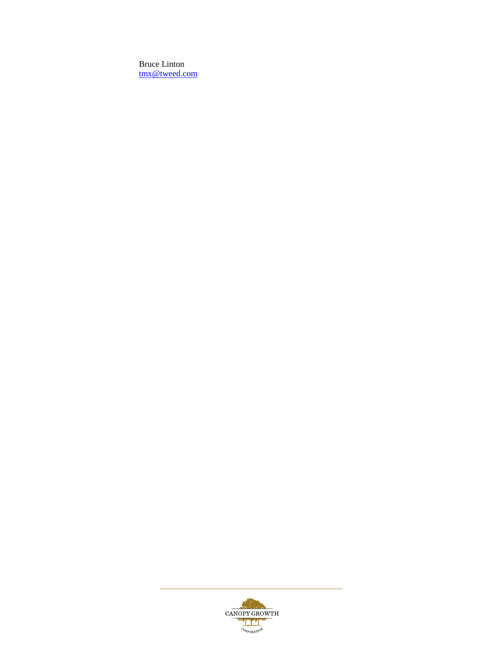Bruce Linton [tmx@tweed.com](mailto:tmx@tweed.com)